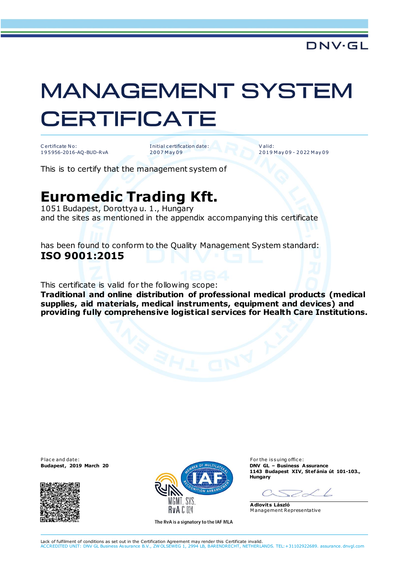## **MANAGEMENT SYSTEM CERTIFICATE**

C ertificate No: 1 9 5 956-2016-AQ-BUD-RvA I nitial c ertification date: 2 0 0 7 M ay 0 9

V alid: 2 0 1 9 M ay 0 9 - 2 0 22 M ay 0 9

This is to certify that the management system of

## **Euromedic Trading Kft.**

1051 Budapest, Dorottya u. 1., Hungary and the sites as mentioned in the appendix accompanying this certificate

has been found to conform to the Quality Management System standard: **ISO 9001:2015**

This certificate is valid for the following scope:

**Traditional and online distribution of professional medical products (medical supplies, aid materials, medical instruments, equipment and devices) and providing fully comprehensive logistical services for Health Care Institutions.**

P lace and date: For the issuing office:





The RvA is a signatory to the IAF MLA

**1143 Budapest XIV, Stef ánia út 101-103., Hungary**

 $\sim$ 

**Adlovits László** M anagement Representative

Lack of fulfilment of conditions as set out in the Certification Agreement may render this Certificate invalid. ACCREDITED UNIT: DNV GL Business Assurance B.V., ZW OLSEWEG 1, 2994 LB, BARENDRECHT, NETHERLANDS. TEL:+31102922689. assurance.dnvgl.com